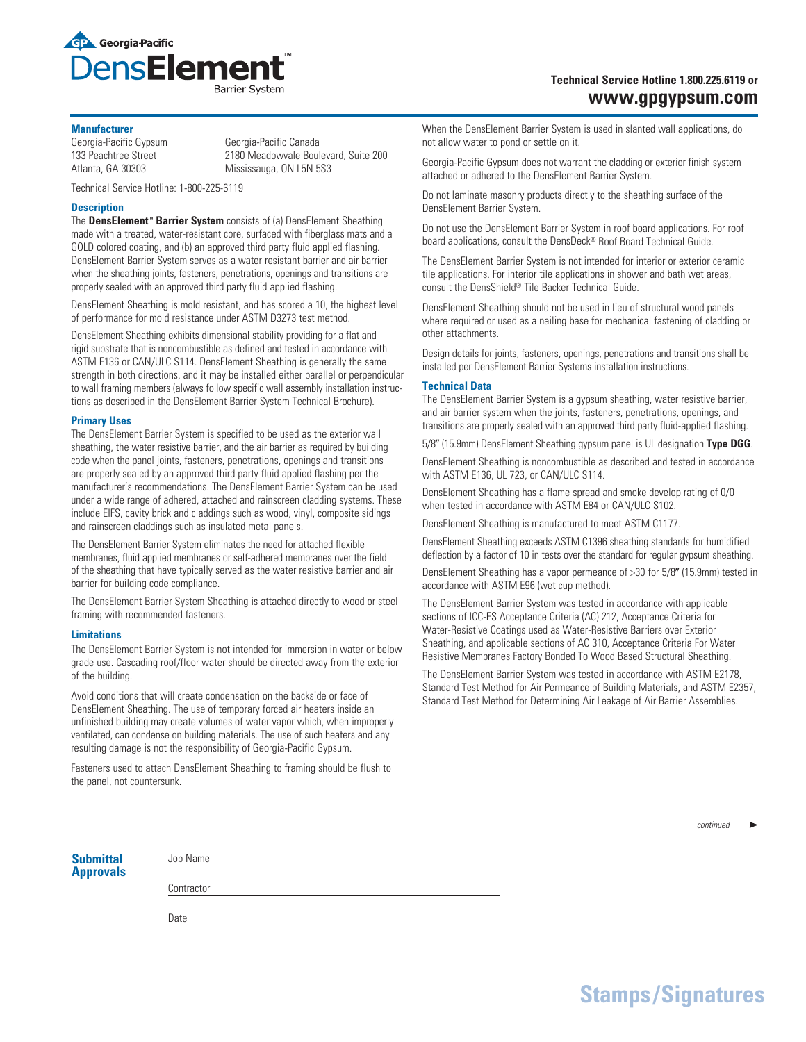

# **Technical Service Hotline 1.800.225.6119 or www.gpgypsum.com**

#### **Manufacturer**

Georgia-Pacific Gypsum Georgia-Pacific Canada 133 Peachtree Street 2180 Meadowvale Boulevard, Suite 200 Atlanta, GA 30303 Mississauga, ON L5N 5S3

Technical Service Hotline: 1-800-225-6119

## **Description**

The **DensElement™ Barrier System** consists of (a) DensElement Sheathing made with a treated, water-resistant core, surfaced with fiberglass mats and a GOLD colored coating, and (b) an approved third party fluid applied flashing. DensElement Barrier System serves as a water resistant barrier and air barrier when the sheathing joints, fasteners, penetrations, openings and transitions are properly sealed with an approved third party fluid applied flashing.

DensElement Sheathing is mold resistant, and has scored a 10, the highest level of performance for mold resistance under ASTM D3273 test method.

DensElement Sheathing exhibits dimensional stability providing for a flat and rigid substrate that is noncombustible as defined and tested in accordance with ASTM E136 or CAN/ULC S114. DensElement Sheathing is generally the same strength in both directions, and it may be installed either parallel or perpendicular to wall framing members (always follow specific wall assembly installation instructions as described in the DensElement Barrier System Technical Brochure).

## **Primary Uses**

The DensElement Barrier System is specified to be used as the exterior wall sheathing, the water resistive barrier, and the air barrier as required by building code when the panel joints, fasteners, penetrations, openings and transitions are properly sealed by an approved third party fluid applied flashing per the manufacturer's recommendations. The DensElement Barrier System can be used under a wide range of adhered, attached and rainscreen cladding systems. These include EIFS, cavity brick and claddings such as wood, vinyl, composite sidings and rainscreen claddings such as insulated metal panels.

The DensElement Barrier System eliminates the need for attached flexible membranes, fluid applied membranes or self-adhered membranes over the field of the sheathing that have typically served as the water resistive barrier and air barrier for building code compliance.

The DensElement Barrier System Sheathing is attached directly to wood or steel framing with recommended fasteners.

## **Limitations**

The DensElement Barrier System is not intended for immersion in water or below grade use. Cascading roof/floor water should be directed away from the exterior of the building.

Avoid conditions that will create condensation on the backside or face of DensElement Sheathing. The use of temporary forced air heaters inside an unfinished building may create volumes of water vapor which, when improperly ventilated, can condense on building materials. The use of such heaters and any resulting damage is not the responsibility of Georgia-Pacific Gypsum.

Fasteners used to attach DensElement Sheathing to framing should be flush to the panel, not countersunk.

When the DensElement Barrier System is used in slanted wall applications, do not allow water to pond or settle on it.

Georgia-Pacific Gypsum does not warrant the cladding or exterior finish system attached or adhered to the DensElement Barrier System.

Do not laminate masonry products directly to the sheathing surface of the DensElement Barrier System.

Do not use the DensElement Barrier System in roof board applications. For roof board applications, consult the DensDeck® Roof Board Technical Guide.

The DensElement Barrier System is not intended for interior or exterior ceramic tile applications. For interior tile applications in shower and bath wet areas, consult the DensShield® Tile Backer Technical Guide.

DensElement Sheathing should not be used in lieu of structural wood panels where required or used as a nailing base for mechanical fastening of cladding or other attachments.

Design details for joints, fasteners, openings, penetrations and transitions shall be installed per DensElement Barrier Systems installation instructions.

## **Technical Data**

The DensElement Barrier System is a gypsum sheathing, water resistive barrier, and air barrier system when the joints, fasteners, penetrations, openings, and transitions are properly sealed with an approved third party fluid-applied flashing.

5/8" (15.9mm) DensElement Sheathing gypsum panel is UL designation **Type DGG**.

DensElement Sheathing is noncombustible as described and tested in accordance with ASTM E136, UL 723, or CAN/ULC S114.

DensElement Sheathing has a flame spread and smoke develop rating of 0/0 when tested in accordance with ASTM E84 or CAN/ULC S102.

DensElement Sheathing is manufactured to meet ASTM C1177.

DensElement Sheathing exceeds ASTM C1396 sheathing standards for humidified deflection by a factor of 10 in tests over the standard for regular gypsum sheathing.

DensElement Sheathing has a vapor permeance of >30 for 5/8" (15.9mm) tested in accordance with ASTM E96 (wet cup method).

The DensElement Barrier System was tested in accordance with applicable sections of ICC-ES Acceptance Criteria (AC) 212, Acceptance Criteria for Water-Resistive Coatings used as Water-Resistive Barriers over Exterior Sheathing, and applicable sections of AC 310, Acceptance Criteria For Water Resistive Membranes Factory Bonded To Wood Based Structural Sheathing.

The DensElement Barrier System was tested in accordance with ASTM E2178, Standard Test Method for Air Permeance of Building Materials, and ASTM E2357, Standard Test Method for Determining Air Leakage of Air Barrier Assemblies.

| <b>Submittal</b> |  |
|------------------|--|
| <b>Approvals</b> |  |

**Contractor** 

Job Name

Date

*continued*